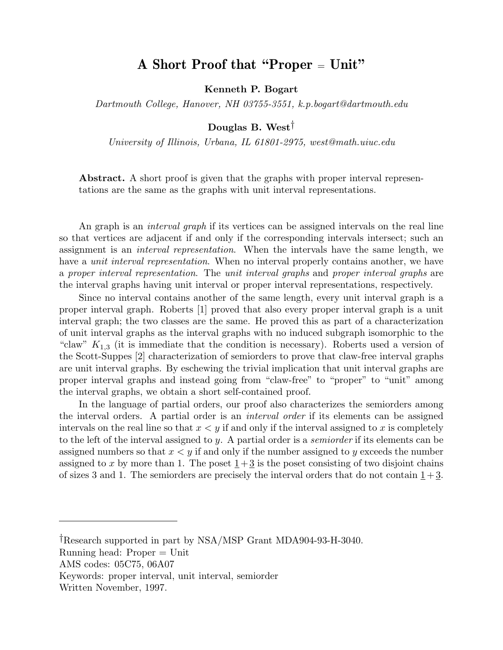## A Short Proof that "Proper <sup>=</sup> Unit"

Kenneth P. Bogart

Dartmouth College, Hanover, NH 03755-3551, k.p.bogart@dartmouth.edu

## Douglas B. West†

University of Illinois, Urbana, IL 61801-2975, west@math.uiuc.edu

Abstract. A short proof is given that the graphs with proper interval representations are the same as the graphs with unit interval representations.

An graph is an *interval graph* if its vertices can be assigned intervals on the real line so that vertices are adjacent if and only if the corresponding intervals intersect; such an assignment is an *interval representation*. When the intervals have the same length, we have a *unit interval representation*. When no interval properly contains another, we have a proper interval representation. The unit interval graphs and proper interval graphs are the interval graphs having unit interval or proper interval representations, respectively.

Since no interval contains another of the same length, every unit interval graph is a proper interval graph. Roberts [1] proved that also every proper interval graph is a unit interval graph; the two classes are the same. He proved this as part of a characterization of unit interval graphs as the interval graphs with no induced subgraph isomorphic to the "claw"  $K_{1,3}$  (it is immediate that the condition is necessary). Roberts used a version of the Scott-Suppes [2] characterization of semiorders to prove that claw-free interval graphs are unit interval graphs. By eschewing the trivial implication that unit interval graphs are proper interval graphs and instead going from "claw-free" to "proper" to "unit" among the interval graphs, we obtain a short self-contained proof.

In the language of partial orders, our proof also characterizes the semiorders among the interval orders. A partial order is an interval order if its elements can be assigned intervals on the real line so that  $x < y$  if and only if the interval assigned to x is completely to the left of the interval assigned to y. A partial order is a semiorder if its elements can be assigned numbers so that  $x \leq y$  if and only if the number assigned to y exceeds the number assigned to x by more than 1. The poset  $1+3$  is the poset consisting of two disjoint chains of sizes 3 and 1. The semiorders are precisely the interval orders that do not contain  $1+3$ .

<sup>†</sup>Research supported in part by NSA/MSP Grant MDA904-93-H-3040.

Running head: Proper = Unit

AMS codes: 05C75, 06A07

Keywords: proper interval, unit interval, semiorder

Written November, 1997.